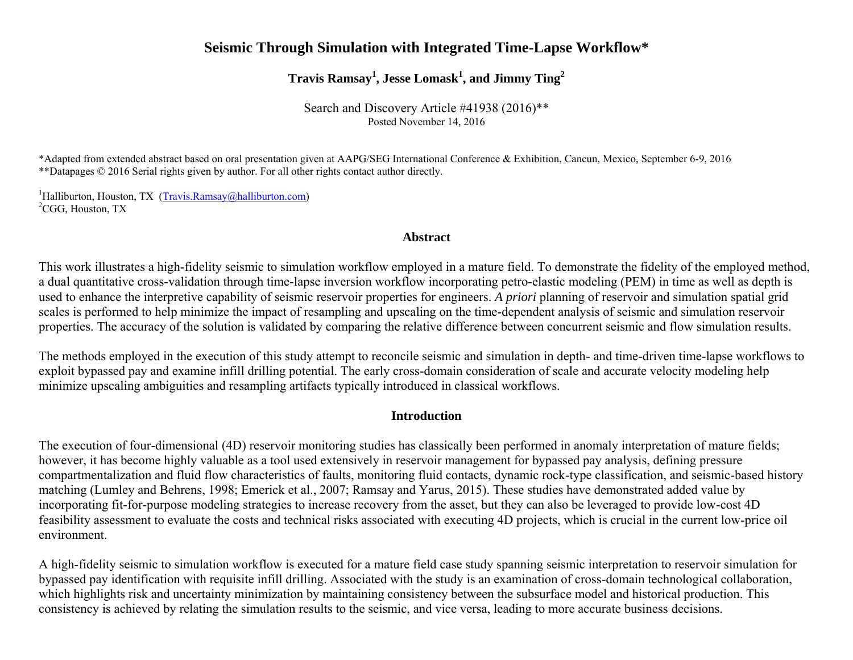# **Seismic Through Simulation with Integrated Time-Lapse Workflow\***

**Travis Ramsay<sup>1</sup> , Jesse Lomask<sup>1</sup> , and Jimmy Ting<sup>2</sup>**

Search and Discovery Article #41938 (2016)\*\* Posted November 14, 2016

\*Adapted from extended abstract based on oral presentation given at AAPG/SEG International Conference & Exhibition, Cancun, Mexico, September 6-9, 2016 \*\*Datapages © 2016 Serial rights given by author. For all other rights contact author directly.

<sup>1</sup>Halliburton, Houston, TX [\(Travis.Ramsay@halliburton.com\)](mailto:Travis.Ramsay@halliburton.com) <sup>2</sup>CGG, Houston, TX

### **Abstract**

This work illustrates a high-fidelity seismic to simulation workflow employed in a mature field. To demonstrate the fidelity of the employed method, a dual quantitative cross-validation through time-lapse inversion workflow incorporating petro-elastic modeling (PEM) in time as well as depth is used to enhance the interpretive capability of seismic reservoir properties for engineers. *A priori* planning of reservoir and simulation spatial grid scales is performed to help minimize the impact of resampling and upscaling on the time-dependent analysis of seismic and simulation reservoir properties. The accuracy of the solution is validated by comparing the relative difference between concurrent seismic and flow simulation results.

The methods employed in the execution of this study attempt to reconcile seismic and simulation in depth- and time-driven time-lapse workflows to exploit bypassed pay and examine infill drilling potential. The early cross-domain consideration of scale and accurate velocity modeling help minimize upscaling ambiguities and resampling artifacts typically introduced in classical workflows.

### **Introduction**

The execution of four-dimensional (4D) reservoir monitoring studies has classically been performed in anomaly interpretation of mature fields; however, it has become highly valuable as a tool used extensively in reservoir management for bypassed pay analysis, defining pressure compartmentalization and fluid flow characteristics of faults, monitoring fluid contacts, dynamic rock-type classification, and seismic-based history matching (Lumley and Behrens, 1998; Emerick et al., 2007; Ramsay and Yarus, 2015). These studies have demonstrated added value by incorporating fit-for-purpose modeling strategies to increase recovery from the asset, but they can also be leveraged to provide low-cost 4D feasibility assessment to evaluate the costs and technical risks associated with executing 4D projects, which is crucial in the current low-price oil environment.

A high-fidelity seismic to simulation workflow is executed for a mature field case study spanning seismic interpretation to reservoir simulation for bypassed pay identification with requisite infill drilling. Associated with the study is an examination of cross-domain technological collaboration, which highlights risk and uncertainty minimization by maintaining consistency between the subsurface model and historical production. This consistency is achieved by relating the simulation results to the seismic, and vice versa, leading to more accurate business decisions.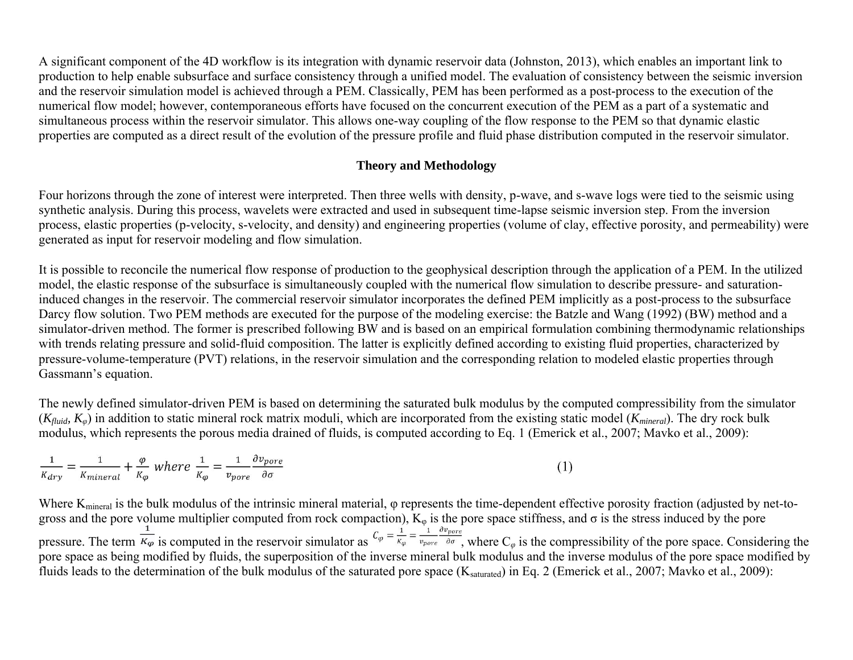A significant component of the 4D workflow is its integration with dynamic reservoir data (Johnston, 2013), which enables an important link to production to help enable subsurface and surface consistency through a unified model. The evaluation of consistency between the seismic inversion and the reservoir simulation model is achieved through a PEM. Classically, PEM has been performed as a post-process to the execution of the numerical flow model; however, contemporaneous efforts have focused on the concurrent execution of the PEM as a part of a systematic and simultaneous process within the reservoir simulator. This allows one-way coupling of the flow response to the PEM so that dynamic elastic properties are computed as a direct result of the evolution of the pressure profile and fluid phase distribution computed in the reservoir simulator.

# **Theory and Methodology**

Four horizons through the zone of interest were interpreted. Then three wells with density, p-wave, and s-wave logs were tied to the seismic using synthetic analysis. During this process, wavelets were extracted and used in subsequent time-lapse seismic inversion step. From the inversion process, elastic properties (p-velocity, s-velocity, and density) and engineering properties (volume of clay, effective porosity, and permeability) were generated as input for reservoir modeling and flow simulation.

It is possible to reconcile the numerical flow response of production to the geophysical description through the application of a PEM. In the utilized model, the elastic response of the subsurface is simultaneously coupled with the numerical flow simulation to describe pressure- and saturationinduced changes in the reservoir. The commercial reservoir simulator incorporates the defined PEM implicitly as a post-process to the subsurface Darcy flow solution. Two PEM methods are executed for the purpose of the modeling exercise: the Batzle and Wang (1992) (BW) method and a simulator-driven method. The former is prescribed following BW and is based on an empirical formulation combining thermodynamic relationships with trends relating pressure and solid-fluid composition. The latter is explicitly defined according to existing fluid properties, characterized by pressure-volume-temperature (PVT) relations, in the reservoir simulation and the corresponding relation to modeled elastic properties through Gassmann's equation.

The newly defined simulator-driven PEM is based on determining the saturated bulk modulus by the computed compressibility from the simulator (*Kfluid, Kφ*) in addition to static mineral rock matrix moduli, which are incorporated from the existing static model (*Kmineral*). The dry rock bulk modulus, which represents the porous media drained of fluids, is computed according to Eq. 1 (Emerick et al., 2007; Mavko et al., 2009):

$$
\frac{1}{K_{dry}} = \frac{1}{K_{mineral}} + \frac{\varphi}{K_{\varphi}} \text{ where } \frac{1}{K_{\varphi}} = \frac{1}{v_{pore}} \frac{\partial v_{pore}}{\partial \sigma}
$$
 (1

Where K<sub>mineral</sub> is the bulk modulus of the intrinsic mineral material, φ represents the time-dependent effective porosity fraction (adjusted by net-togross and the pore volume multiplier computed from rock compaction),  $K_{\varphi}$  is the pore space stiffness, and  $\sigma$  is the stress induced by the pore pressure. The term  $\frac{1}{K_{\varphi}}$  is computed in the reservoir simulator as  $C_{\varphi} = \frac{1}{K_{\varphi}} = \frac{1}{v_{pore}} \frac{1}{\varphi_{pore}} \frac{\partial v_{pore}}{\partial \sigma}$ , where  $C_{\varphi}$  is the compressibility of the pore space. Considering the pore space as being modified by fluids, the superposition of the inverse mineral bulk modulus and the inverse modulus of the pore space modified by fluids leads to the determination of the bulk modulus of the saturated pore space  $(K_{\text{saturated}})$  in Eq. 2 (Emerick et al., 2007; Mavko et al., 2009):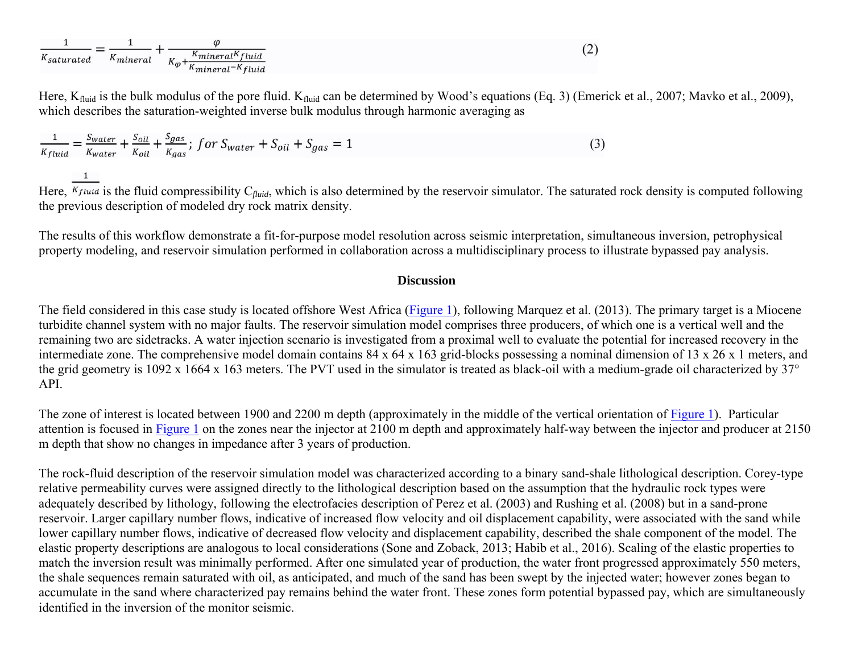| <b>A</b> saturated | <b><i><u>Amineral</u></i></b> | $K$ mineral $K$<br>fluia<br>$\overline{L}$    |
|--------------------|-------------------------------|-----------------------------------------------|
|                    |                               | $\mathbf{u}_0$<br>$l^{-K}$ fluid<br>"mineral" |

Here,  $K_{fluid}$  is the bulk modulus of the pore fluid.  $K_{fluid}$  can be determined by Wood's equations (Eq. 3) (Emerick et al., 2007; Mavko et al., 2009), which describes the saturation-weighted inverse bulk modulus through harmonic averaging as

$$
\frac{1}{K_{fluid}} = \frac{S_{water}}{K_{water}} + \frac{S_{oil}}{K_{oil}} + \frac{S_{gas}}{K_{gas}}; for S_{water} + S_{oil} + S_{gas} = 1
$$
\n(3)

Here,  $\overline{K_{fluid}}$  is the fluid compressibility  $C_{fluid}$ , which is also determined by the reservoir simulator. The saturated rock density is computed following the previous description of modeled dry rock matrix density.

The results of this workflow demonstrate a fit-for-purpose model resolution across seismic interpretation, simultaneous inversion, petrophysical property modeling, and reservoir simulation performed in collaboration across a multidisciplinary process to illustrate bypassed pay analysis.

#### **Discussion**

The field considered in this case study is located offshore West Africa [\(Figure 1\)](#page-5-0), following Marquez et al. (2013). The primary target is a Miocene turbidite channel system with no major faults. The reservoir simulation model comprises three producers, of which one is a vertical well and the remaining two are sidetracks. A water injection scenario is investigated from a proximal well to evaluate the potential for increased recovery in the intermediate zone. The comprehensive model domain contains 84 x 64 x 163 grid-blocks possessing a nominal dimension of 13 x 26 x 1 meters, and the grid geometry is 1092 x 1664 x 163 meters. The PVT used in the simulator is treated as black-oil with a medium-grade oil characterized by 37° API.

The zone of interest is located between 1900 and 2200 m depth (approximately in the middle of the vertical orientation of [Figure 1\)](#page-5-0). Particular attention is focused in [Figure 1](#page-5-0) on the zones near the injector at 2100 m depth and approximately half-way between the injector and producer at 2150 m depth that show no changes in impedance after 3 years of production.

The rock-fluid description of the reservoir simulation model was characterized according to a binary sand-shale lithological description. Corey-type relative permeability curves were assigned directly to the lithological description based on the assumption that the hydraulic rock types were adequately described by lithology, following the electrofacies description of Perez et al. (2003) and Rushing et al. (2008) but in a sand-prone reservoir. Larger capillary number flows, indicative of increased flow velocity and oil displacement capability, were associated with the sand while lower capillary number flows, indicative of decreased flow velocity and displacement capability, described the shale component of the model. The elastic property descriptions are analogous to local considerations (Sone and Zoback, 2013; Habib et al., 2016). Scaling of the elastic properties to match the inversion result was minimally performed. After one simulated year of production, the water front progressed approximately 550 meters, the shale sequences remain saturated with oil, as anticipated, and much of the sand has been swept by the injected water; however zones began to accumulate in the sand where characterized pay remains behind the water front. These zones form potential bypassed pay, which are simultaneously identified in the inversion of the monitor seismic.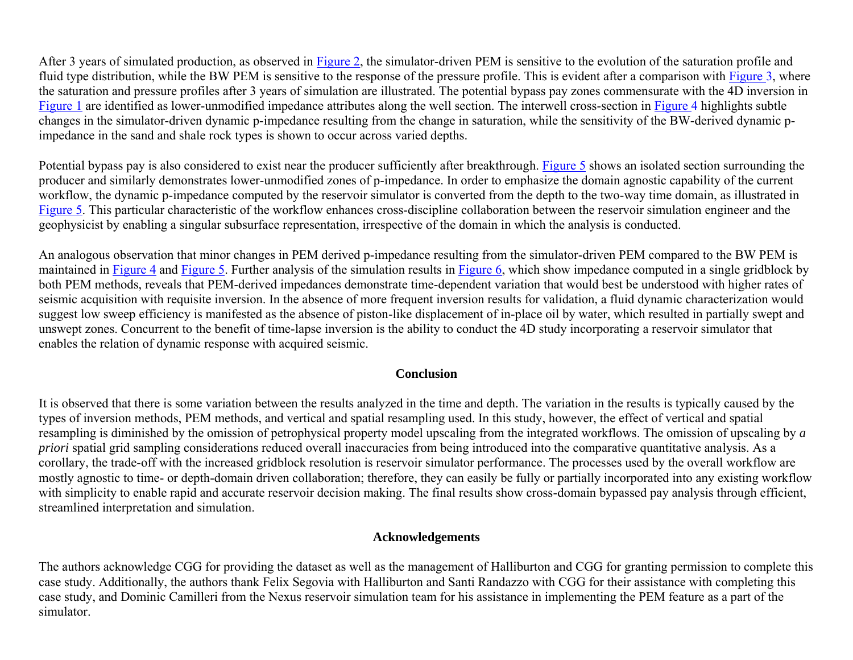After 3 years of simulated production, as observed in [Figure 2,](#page-6-0) the simulator-driven PEM is sensitive to the evolution of the saturation profile and fluid type distribution, while the BW PEM is sensitive to the response of the pressure profile. This is evident after a comparison with [Figure 3,](#page-7-0) where the saturation and pressure profiles after 3 years of simulation are illustrated. The potential bypass pay zones commensurate with the 4D inversion in [Figure 1](#page-5-0) are identified as lower-unmodified impedance attributes along the well section. The interwell cross-section in [Figure 4](#page-8-0) highlights subtle changes in the simulator-driven dynamic p-impedance resulting from the change in saturation, while the sensitivity of the BW-derived dynamic pimpedance in the sand and shale rock types is shown to occur across varied depths.

Potential bypass pay is also considered to exist near the producer sufficiently after breakthrough. [Figure 5](#page-9-0) shows an isolated section surrounding the producer and similarly demonstrates lower-unmodified zones of p-impedance. In order to emphasize the domain agnostic capability of the current workflow, the dynamic p-impedance computed by the reservoir simulator is converted from the depth to the two-way time domain, as illustrated in [Figure 5.](#page-9-0) This particular characteristic of the workflow enhances cross-discipline collaboration between the reservoir simulation engineer and the geophysicist by enabling a singular subsurface representation, irrespective of the domain in which the analysis is conducted.

An analogous observation that minor changes in PEM derived p-impedance resulting from the simulator-driven PEM compared to the BW PEM is maintained in [Figure 4](#page-8-0) and [Figure 5.](#page-9-0) Further analysis of the simulation results in [Figure 6,](#page-10-0) which show impedance computed in a single gridblock by both PEM methods, reveals that PEM-derived impedances demonstrate time-dependent variation that would best be understood with higher rates of seismic acquisition with requisite inversion. In the absence of more frequent inversion results for validation, a fluid dynamic characterization would suggest low sweep efficiency is manifested as the absence of piston-like displacement of in-place oil by water, which resulted in partially swept and unswept zones. Concurrent to the benefit of time-lapse inversion is the ability to conduct the 4D study incorporating a reservoir simulator that enables the relation of dynamic response with acquired seismic.

# **Conclusion**

It is observed that there is some variation between the results analyzed in the time and depth. The variation in the results is typically caused by the types of inversion methods, PEM methods, and vertical and spatial resampling used. In this study, however, the effect of vertical and spatial resampling is diminished by the omission of petrophysical property model upscaling from the integrated workflows. The omission of upscaling by *a priori* spatial grid sampling considerations reduced overall inaccuracies from being introduced into the comparative quantitative analysis. As a corollary, the trade-off with the increased gridblock resolution is reservoir simulator performance. The processes used by the overall workflow are mostly agnostic to time- or depth-domain driven collaboration; therefore, they can easily be fully or partially incorporated into any existing workflow with simplicity to enable rapid and accurate reservoir decision making. The final results show cross-domain bypassed pay analysis through efficient, streamlined interpretation and simulation.

# **Acknowledgements**

The authors acknowledge CGG for providing the dataset as well as the management of Halliburton and CGG for granting permission to complete this case study. Additionally, the authors thank Felix Segovia with Halliburton and Santi Randazzo with CGG for their assistance with completing this case study, and Dominic Camilleri from the Nexus reservoir simulation team for his assistance in implementing the PEM feature as a part of the simulator.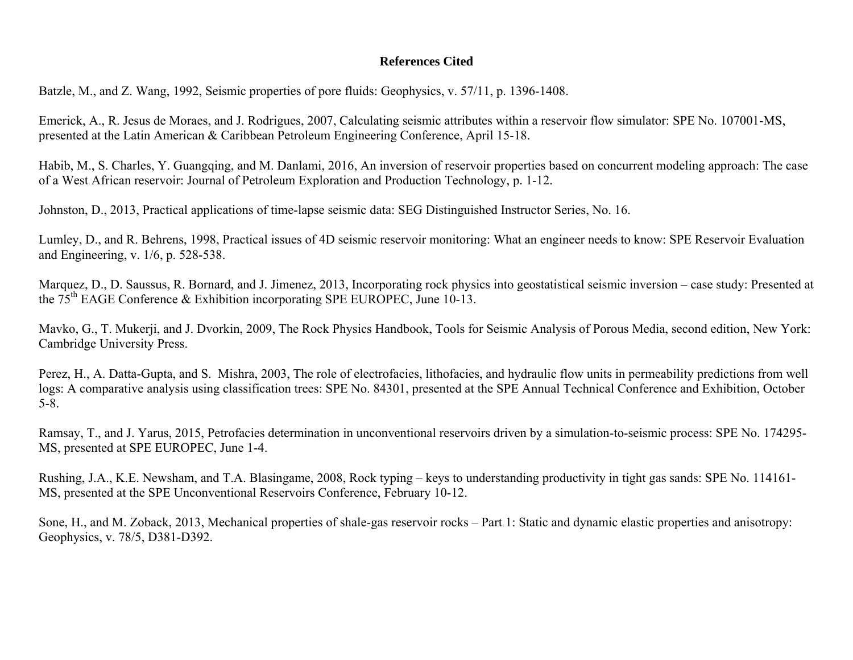### **References Cited**

Batzle, M., and Z. Wang, 1992, Seismic properties of pore fluids: Geophysics, v. 57/11, p. 1396-1408.

Emerick, A., R. Jesus de Moraes, and J. Rodrigues, 2007, Calculating seismic attributes within a reservoir flow simulator: SPE No. 107001-MS, presented at the Latin American & Caribbean Petroleum Engineering Conference, April 15-18.

Habib, M., S. Charles, Y. Guangqing, and M. Danlami, 2016, An inversion of reservoir properties based on concurrent modeling approach: The case of a West African reservoir: Journal of Petroleum Exploration and Production Technology, p. 1-12.

Johnston, D., 2013, Practical applications of time-lapse seismic data: SEG Distinguished Instructor Series, No. 16.

Lumley, D., and R. Behrens, 1998, Practical issues of 4D seismic reservoir monitoring: What an engineer needs to know: SPE Reservoir Evaluation and Engineering, v. 1/6, p. 528-538.

Marquez, D., D. Saussus, R. Bornard, and J. Jimenez, 2013, Incorporating rock physics into geostatistical seismic inversion – case study: Presented at the  $75<sup>th</sup>$  EAGE Conference & Exhibition incorporating SPE EUROPEC, June 10-13.

Mavko, G., T. Mukerji, and J. Dvorkin, 2009, The Rock Physics Handbook, Tools for Seismic Analysis of Porous Media, second edition, New York: Cambridge University Press.

Perez, H., A. Datta-Gupta, and S. Mishra, 2003, The role of electrofacies, lithofacies, and hydraulic flow units in permeability predictions from well logs: A comparative analysis using classification trees: SPE No. 84301, presented at the SPE Annual Technical Conference and Exhibition, October 5-8.

Ramsay, T., and J. Yarus, 2015, Petrofacies determination in unconventional reservoirs driven by a simulation-to-seismic process: SPE No. 174295- MS, presented at SPE EUROPEC, June 1-4.

Rushing, J.A., K.E. Newsham, and T.A. Blasingame, 2008, Rock typing – keys to understanding productivity in tight gas sands: SPE No. 114161- MS, presented at the SPE Unconventional Reservoirs Conference, February 10-12.

Sone, H., and M. Zoback, 2013, Mechanical properties of shale-gas reservoir rocks – Part 1: Static and dynamic elastic properties and anisotropy: Geophysics, v. 78/5, D381-D392.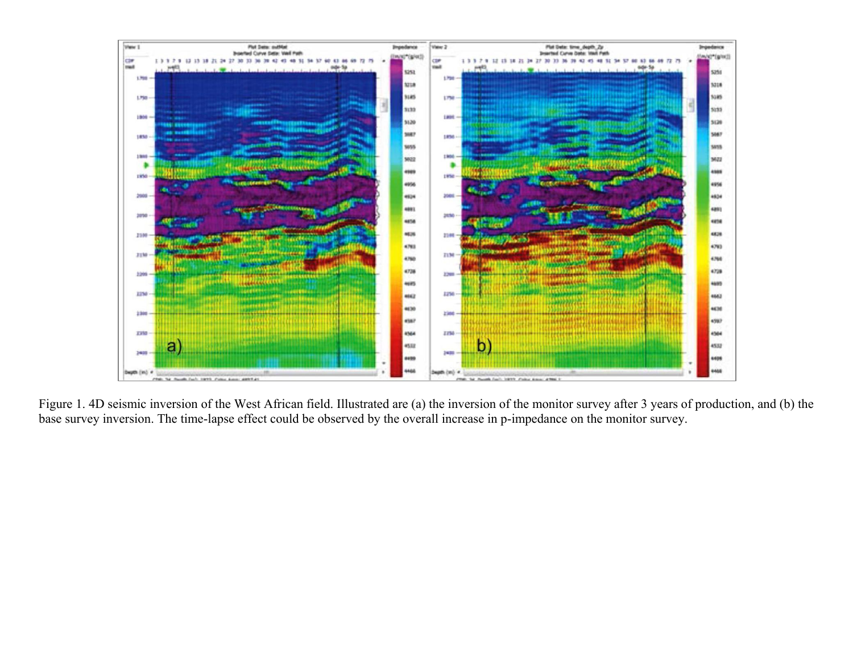<span id="page-5-0"></span>

Figure 1. 4D seismic inversion of the West African field. Illustrated are (a) the inversion of the monitor survey after 3 years of production, and (b) the base survey inversion. The time-lapse effect could be observed by the overall increase in p-impedance on the monitor survey.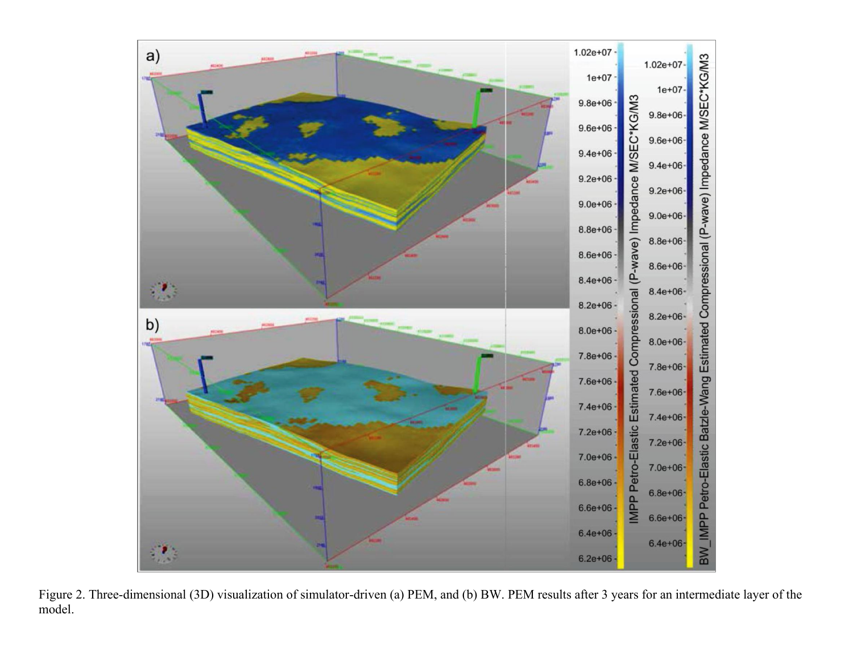<span id="page-6-0"></span>

Figure 2. Three-dimensional (3D) visualization of simulator-driven (a) PEM, and (b) BW. PEM results after 3 years for an intermediate layer of the model.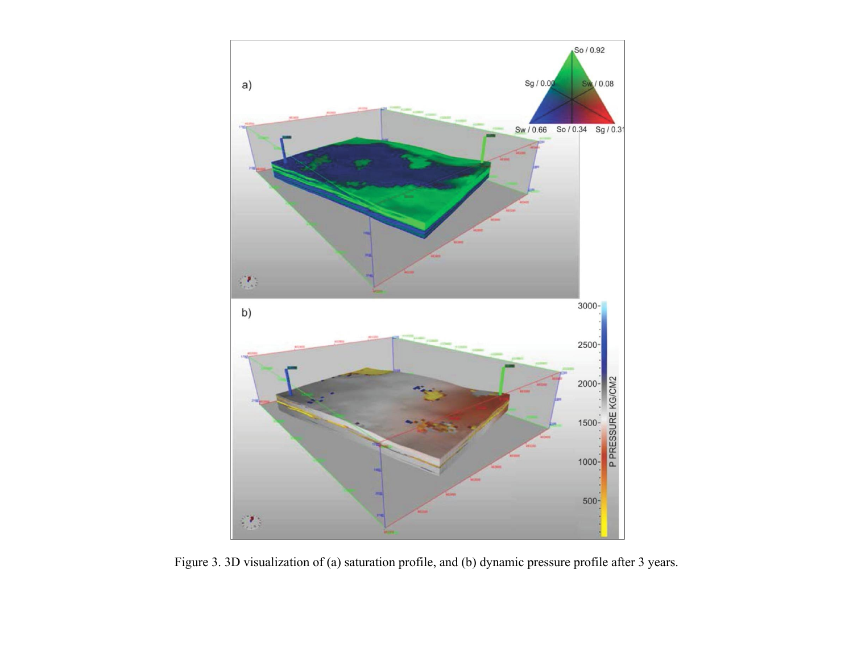<span id="page-7-0"></span>

Figure 3. 3D visualization of (a) saturation profile, and (b) dynamic pressure profile after 3 years.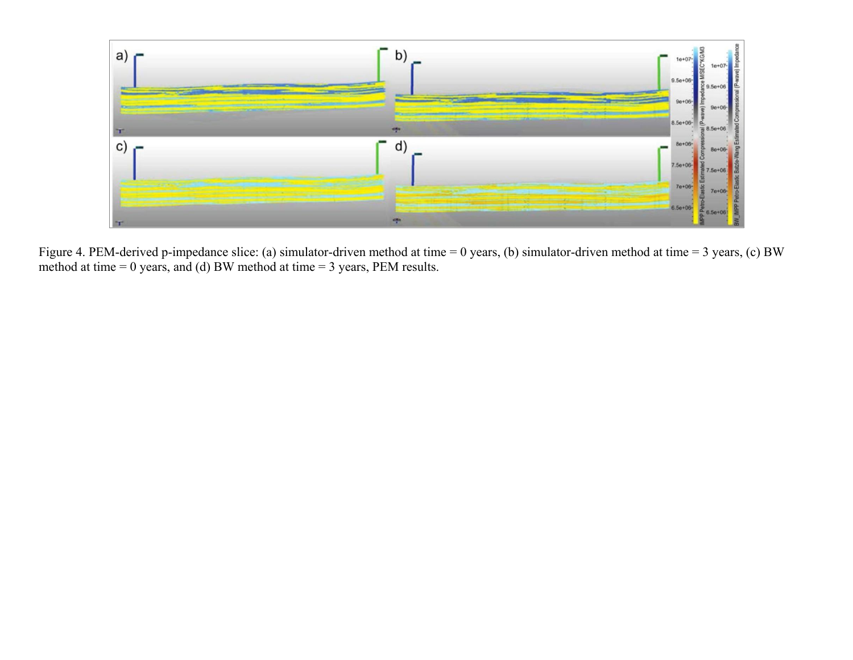<span id="page-8-0"></span>

Figure 4. PEM-derived p-impedance slice: (a) simulator-driven method at time = 0 years, (b) simulator-driven method at time = 3 years, (c) BW method at time = 0 years, and (d) BW method at time = 3 years, PEM results.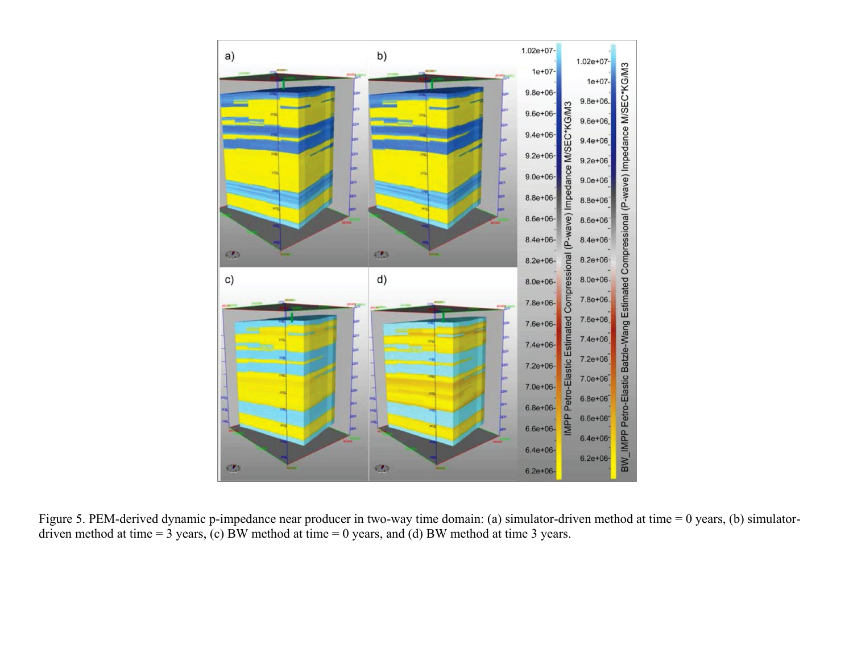<span id="page-9-0"></span>

Figure 5. PEM-derived dynamic p-impedance near producer in two-way time domain: (a) simulator-driven method at time = 0 years, (b) simulatordriven method at time  $= 3$  years, (c) BW method at time  $= 0$  years, and (d) BW method at time 3 years.